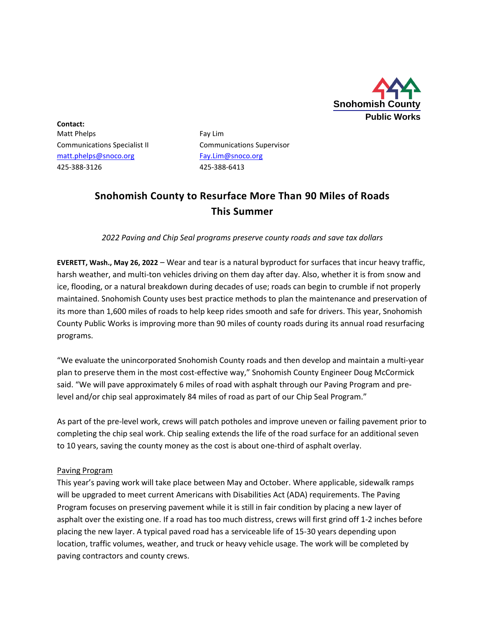

**Contact:** Matt Phelps Fay Lim Communications Specialist II Communications Supervisor [matt.phelps@snoco.org](mailto:matt.phelps@snoco.org) [Fay.Lim@snoco.org](mailto:Fay.Lim@snoco.org) 425-388-3126 425-388-6413

## **Snohomish County to Resurface More Than 90 Miles of Roads This Summer**

*2022 Paving and Chip Seal programs preserve county roads and save tax dollars*

**EVERETT, Wash., May 26, 2022** – Wear and tear is a natural byproduct for surfaces that incur heavy traffic, harsh weather, and multi-ton vehicles driving on them day after day. Also, whether it is from snow and ice, flooding, or a natural breakdown during decades of use; roads can begin to crumble if not properly maintained. Snohomish County uses best practice methods to plan the maintenance and preservation of its more than 1,600 miles of roads to help keep rides smooth and safe for drivers. This year, Snohomish County Public Works is improving more than 90 miles of county roads during its annual road resurfacing programs.

"We evaluate the unincorporated Snohomish County roads and then develop and maintain a multi-year plan to preserve them in the most cost-effective way," Snohomish County Engineer Doug McCormick said. "We will pave approximately 6 miles of road with asphalt through our Paving Program and prelevel and/or chip seal approximately 84 miles of road as part of our Chip Seal Program."

As part of the pre-level work, crews will patch potholes and improve uneven or failing pavement prior to completing the chip seal work. Chip sealing extends the life of the road surface for an additional seven to 10 years, saving the county money as the cost is about one-third of asphalt overlay.

## Paving Program

This year's paving work will take place between May and October. Where applicable, sidewalk ramps will be upgraded to meet current Americans with Disabilities Act (ADA) requirements. The Paving Program focuses on preserving pavement while it is still in fair condition by placing a new layer of asphalt over the existing one. If a road has too much distress, crews will first grind off 1-2 inches before placing the new layer. A typical paved road has a serviceable life of 15-30 years depending upon location, traffic volumes, weather, and truck or heavy vehicle usage. The work will be completed by paving contractors and county crews.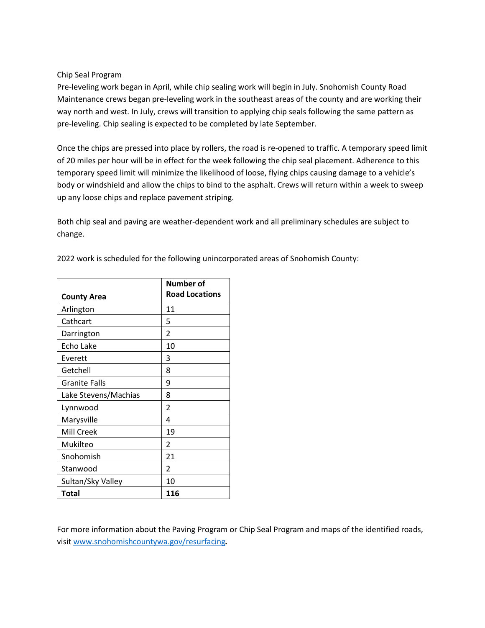## Chip Seal Program

Pre-leveling work began in April, while chip sealing work will begin in July. Snohomish County Road Maintenance crews began pre-leveling work in the southeast areas of the county and are working their way north and west. In July, crews will transition to applying chip seals following the same pattern as pre-leveling. Chip sealing is expected to be completed by late September.

Once the chips are pressed into place by rollers, the road is re-opened to traffic. A temporary speed limit of 20 miles per hour will be in effect for the week following the chip seal placement. Adherence to this temporary speed limit will minimize the likelihood of loose, flying chips causing damage to a vehicle's body or windshield and allow the chips to bind to the asphalt. Crews will return within a week to sweep up any loose chips and replace pavement striping.

Both chip seal and paving are weather-dependent work and all preliminary schedules are subject to change.

2022 work is scheduled for the following unincorporated areas of Snohomish County:

| <b>County Area</b>   | <b>Number of</b><br><b>Road Locations</b> |
|----------------------|-------------------------------------------|
| Arlington            | 11                                        |
| Cathcart             | 5                                         |
| Darrington           | 2                                         |
| Echo Lake            | 10                                        |
| Everett              | 3                                         |
| Getchell             | 8                                         |
| <b>Granite Falls</b> | 9                                         |
| Lake Stevens/Machias | 8                                         |
| Lynnwood             | 2                                         |
| Marysville           | 4                                         |
| Mill Creek           | 19                                        |
| Mukilteo             | $\overline{2}$                            |
| Snohomish            | 21                                        |
| Stanwood             | $\overline{2}$                            |
| Sultan/Sky Valley    | 10                                        |
| Total                | 116                                       |

For more information about the Paving Program or Chip Seal Program and maps of the identified roads, visi[t www.snohomishcountywa.gov/resurfacing](http://www.snohomishcountywa.gov/resurfacing)*.*